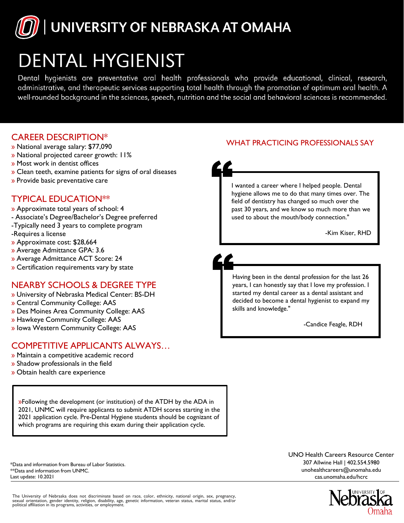# UNIVERSITY OF NEBRASKA AT OMAHA

# **DENTAL HYGIENIST**

Dental hygienists are preventative oral health professionals who provide educational, clinical, research, administrative, and therapeutic services supporting total health through the promotion of optimum oral health. A well-rounded background in the sciences, speech, nutrition and the social and behavioral sciences is recommended.

### CAREER DESCRIPTION\*

- » National average salary: \$77,090
- » National projected career growth: 11%
- » Most work in dentist offices
- » Clean teeth, examine patients for signs of oral diseases
- » Provide basic preventative care

### TYPICAL EDUCATION\*\*

- » Approximate total years of school: 4
- Associate's Degree/Bachelor's Degree preferred
- -Typically need 3 years to complete program
- -Requires a license
- » Approximate cost: \$28,664
- » Average Admittance GPA: 3.6
- » Average Admittance ACT Score: 24
- » Certification requirements vary by state

#### NEARBY SCHOOLS & DEGREE TYPE

- » University of Nebraska Medical Center: BS-DH
- » Central Community College: AAS
- » Des Moines Area Community College: AAS
- » Hawkeye Community College: AAS
- » Iowa Western Community College: AAS

## COMPETITIVE APPLICANTS ALWAYS…

- » Maintain a competitive academic record
- » Shadow professionals in the field
- » Obtain health care experience

»Following the development (or institution) of the ATDH by the ADA in 2021, UNMC will require applicants to submit ATDH scores starting in the 2021 application cycle. Pre-Dental Hygiene students should be cognizant of which programs are requiring this exam during their application cycle.

\*Data and information from Bureau of Labor Statistics. \*\*Data and information from UNMC. Last update: 10.2021

The University of Nebraska does not discriminate based on race, color, ethnicity, national origin, sex, pregnancy,<br>sexual orientation, gender identity, religion, disability, age, genetic information, veteran status, marita

#### WHAT PRACTICING PROFESSIONALS SAY

I wanted a career where I helped people. Dental hygiene allows me to do that many times over. The field of dentistry has changed so much over the past 30 years, and we know so much more than we used to about the mouth/body connection."

-Kim Kiser, RHD

Having been in the dental profession for the last 26 years, I can honestly say that I love my profession. I started my dental career as a dental assistant and decided to become a dental hygienist to expand my skills and knowledge."

-Candice Feagle, RDH

[UNO H](mailto:unohealthcareers@unomaha.edu)ealth Careers [Resourc](mailto:eers@unomaha.edu)e Center 307 Allwine Hall | 402.554.5980 unohealthcareers@unomaha.edu cas.unomaha.edu/hcrc